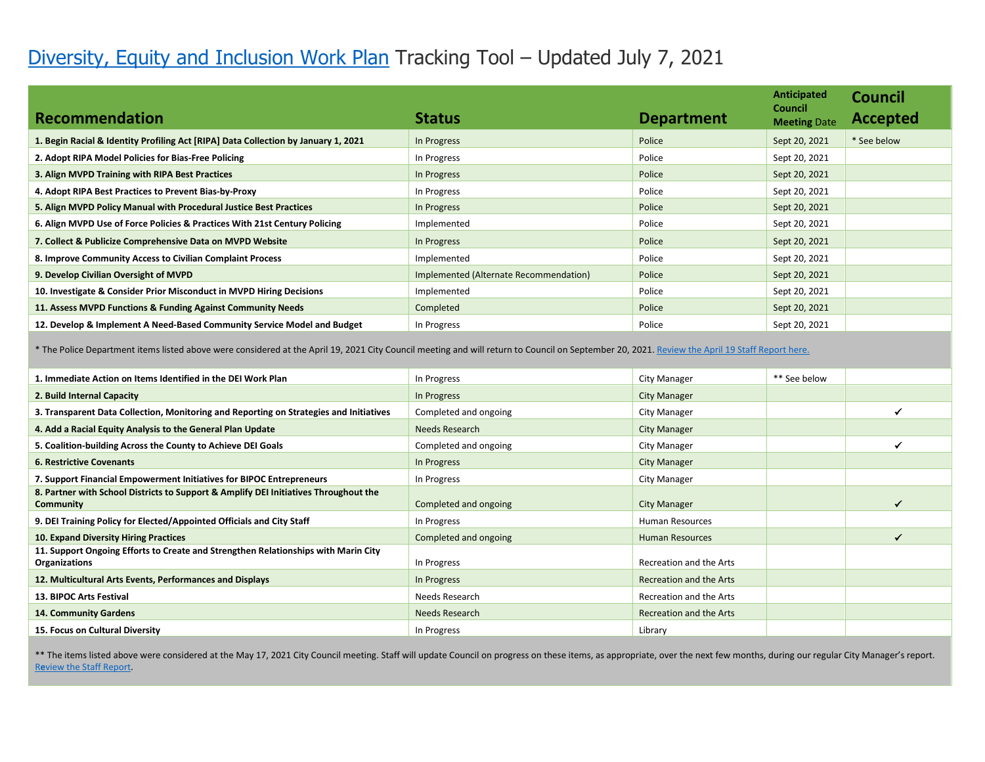## [Diversity, Equity and Inclusion Work Plan](https://cityofmillvalley.granicus.com/MetaViewer.php?view_id=2&clip_id=1580&meta_id=76216) Tracking Tool – Updated July 7, 2021

|                                                                                    |                                        |                   | Anticipated                           | Council         |
|------------------------------------------------------------------------------------|----------------------------------------|-------------------|---------------------------------------|-----------------|
| Recommendation                                                                     | <b>Status</b>                          | <b>Department</b> | <b>Council</b><br><b>Meeting Date</b> | <b>Accepted</b> |
| 1. Begin Racial & Identity Profiling Act [RIPA] Data Collection by January 1, 2021 | In Progress                            | Police            | Sept 20, 2021                         | * See below     |
| 2. Adopt RIPA Model Policies for Bias-Free Policing                                | In Progress                            | Police            | Sept 20, 2021                         |                 |
| 3. Align MVPD Training with RIPA Best Practices                                    | In Progress                            | Police            | Sept 20, 2021                         |                 |
| 4. Adopt RIPA Best Practices to Prevent Bias-by-Proxy                              | In Progress                            | Police            | Sept 20, 2021                         |                 |
| 5. Align MVPD Policy Manual with Procedural Justice Best Practices                 | In Progress                            | Police            | Sept 20, 2021                         |                 |
| 6. Align MVPD Use of Force Policies & Practices With 21st Century Policing         | Implemented                            | Police            | Sept 20, 2021                         |                 |
| 7. Collect & Publicize Comprehensive Data on MVPD Website                          | In Progress                            | Police            | Sept 20, 2021                         |                 |
| 8. Improve Community Access to Civilian Complaint Process                          | Implemented                            | Police            | Sept 20, 2021                         |                 |
| 9. Develop Civilian Oversight of MVPD                                              | Implemented (Alternate Recommendation) | Police            | Sept 20, 2021                         |                 |
| 10. Investigate & Consider Prior Misconduct in MVPD Hiring Decisions               | Implemented                            | Police            | Sept 20, 2021                         |                 |
| 11. Assess MVPD Functions & Funding Against Community Needs                        | Completed                              | Police            | Sept 20, 2021                         |                 |
| 12. Develop & Implement A Need-Based Community Service Model and Budget            | In Progress                            | Police            | Sept 20, 2021                         |                 |

\* The Police Department items listed above were considered at the April 19, 2021 City Council meeting and will return to Council on September 20, 2021. [Review the April 19 Staff Report here.](https://cityofmillvalley.granicus.com/MetaViewer.php?view_id=2&event_id=1110&meta_id=77280)

| 1. Immediate Action on Items Identified in the DEI Work Plan                                        | In Progress           | City Manager            | ** See below |   |
|-----------------------------------------------------------------------------------------------------|-----------------------|-------------------------|--------------|---|
| 2. Build Internal Capacity                                                                          | In Progress           | <b>City Manager</b>     |              |   |
| 3. Transparent Data Collection, Monitoring and Reporting on Strategies and Initiatives              | Completed and ongoing | City Manager            |              |   |
| 4. Add a Racial Equity Analysis to the General Plan Update                                          | Needs Research        | <b>City Manager</b>     |              |   |
| 5. Coalition-building Across the County to Achieve DEI Goals                                        | Completed and ongoing | City Manager            |              |   |
| <b>6. Restrictive Covenants</b>                                                                     | In Progress           | <b>City Manager</b>     |              |   |
| 7. Support Financial Empowerment Initiatives for BIPOC Entrepreneurs                                | In Progress           | City Manager            |              |   |
| 8. Partner with School Districts to Support & Amplify DEI Initiatives Throughout the<br>Community   | Completed and ongoing | <b>City Manager</b>     |              | ✔ |
| 9. DEI Training Policy for Elected/Appointed Officials and City Staff                               | In Progress           | <b>Human Resources</b>  |              |   |
| 10. Expand Diversity Hiring Practices                                                               | Completed and ongoing | <b>Human Resources</b>  |              |   |
| 11. Support Ongoing Efforts to Create and Strengthen Relationships with Marin City<br>Organizations | In Progress           | Recreation and the Arts |              |   |
| 12. Multicultural Arts Events, Performances and Displays                                            | In Progress           | Recreation and the Arts |              |   |
| <b>13. BIPOC Arts Festival</b>                                                                      | Needs Research        | Recreation and the Arts |              |   |
| <b>14. Community Gardens</b>                                                                        | Needs Research        | Recreation and the Arts |              |   |
| 15. Focus on Cultural Diversity                                                                     | In Progress           | Library                 |              |   |

\*\* The items listed above were considered at the May 17, 2021 City Council meeting. Staff will update Council on progress on these items, as appropriate, over the next few months, during our regular City Manager's report. R**e**[view the Staff Report.](https://cityofmillvalley.granicus.com/MetaViewer.php?view_id=2&clip_id=1615&meta_id=77887)